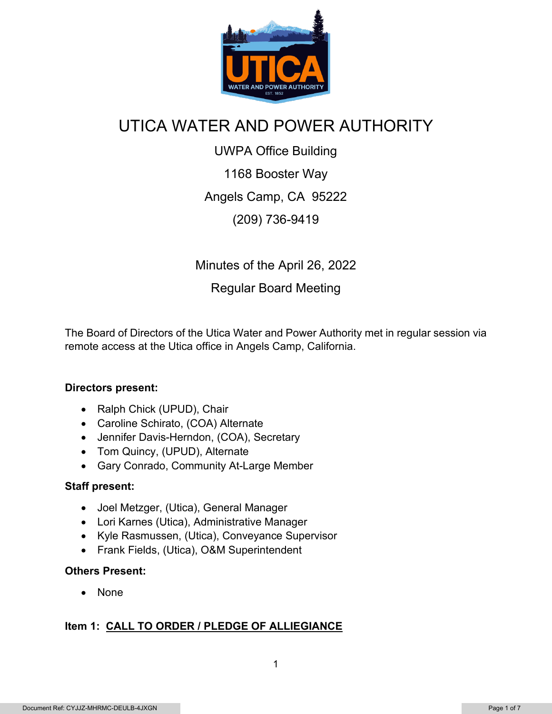

## UTICA WATER AND POWER AUTHORITY

UWPA Office Building 1168 Booster Way Angels Camp, CA 95222 (209) 736-9419

Minutes of the April 26, 2022 Regular Board Meeting

The Board of Directors of the Utica Water and Power Authority met in regular session via remote access at the Utica office in Angels Camp, California.

#### **Directors present:**

- Ralph Chick (UPUD), Chair
- Caroline Schirato, (COA) Alternate
- Jennifer Davis-Herndon, (COA), Secretary
- Tom Quincy, (UPUD), Alternate
- Gary Conrado, Community At-Large Member

#### **Staff present:**

- Joel Metzger, (Utica), General Manager
- Lori Karnes (Utica), Administrative Manager
- Kyle Rasmussen, (Utica), Conveyance Supervisor
- Frank Fields, (Utica), O&M Superintendent

#### **Others Present:**

• None

#### **Item 1: CALL TO ORDER / PLEDGE OF ALLIEGIANCE**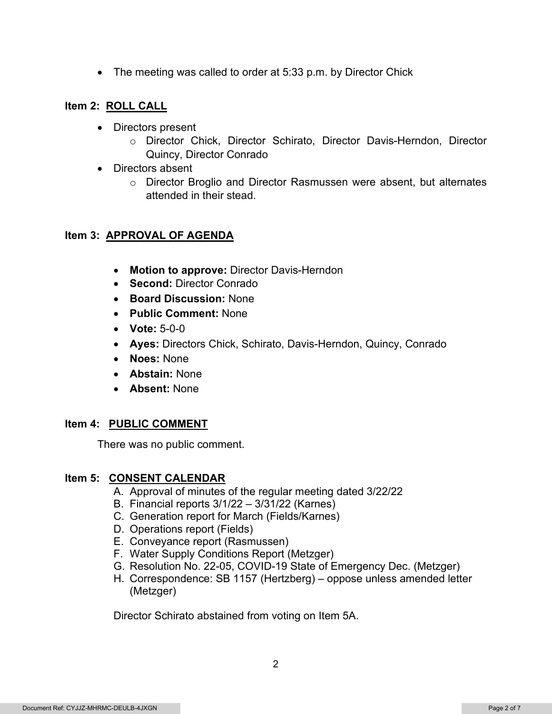• The meeting was called to order at 5:33 p.m. by Director Chick

#### **Item 2: ROLL CALL**

- Directors present
	- o Director Chick, Director Schirato, Director Davis-Herndon, Director Quincy, Director Conrado
- Directors absent
	- $\circ$  Director Broglio and Director Rasmussen were absent, but alternates attended in their stead.

#### **Item 3: APPROVAL OF AGENDA**

- **Motion to approve:** Director Davis-Herndon
- **Second:** Director Conrado
- **Board Discussion:** None
- **Public Comment:** None
- **Vote:** 5-0-0
- **Ayes:** Directors Chick, Schirato, Davis-Herndon, Quincy, Conrado
- **Noes:** None
- **Abstain:** None
- **Absent:** None

#### **Item 4: PUBLIC COMMENT**

There was no public comment.

#### **Item 5: CONSENT CALENDAR**

- A. Approval of minutes of the regular meeting dated 3/22/22
- B. Financial reports 3/1/22 3/31/22 (Karnes)
- C. Generation report for March (Fields/Karnes)
- D. Operations report (Fields)
- E. Conveyance report (Rasmussen)
- F. Water Supply Conditions Report (Metzger)
- G. Resolution No. 22-05, COVID-19 State of Emergency Dec. (Metzger)
- H. Correspondence: SB 1157 (Hertzberg) oppose unless amended letter (Metzger)

Director Schirato abstained from voting on Item 5A.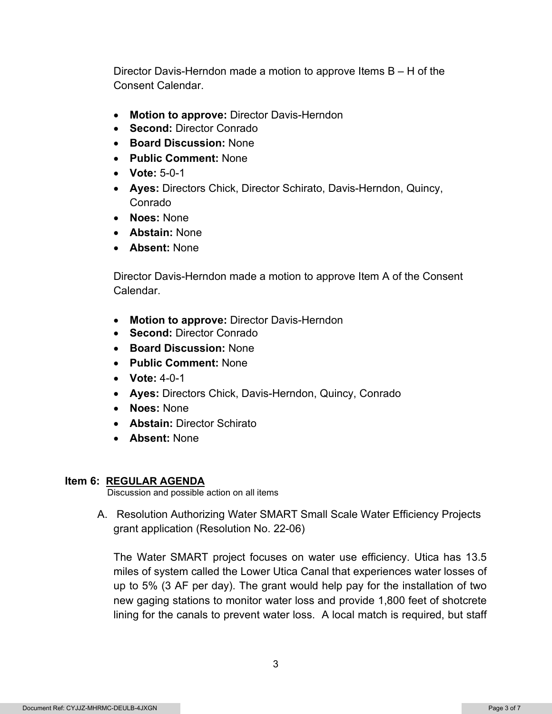Director Davis-Herndon made a motion to approve Items B – H of the Consent Calendar.

- **Motion to approve:** Director Davis-Herndon
- **Second:** Director Conrado
- **Board Discussion:** None
- **Public Comment:** None
- **Vote:** 5-0-1
- **Ayes:** Directors Chick, Director Schirato, Davis-Herndon, Quincy, Conrado
- **Noes:** None
- **Abstain:** None
- **Absent:** None

Director Davis-Herndon made a motion to approve Item A of the Consent Calendar.

- **Motion to approve:** Director Davis-Herndon
- **Second:** Director Conrado
- **Board Discussion:** None
- **Public Comment:** None
- **Vote:** 4-0-1
- **Ayes:** Directors Chick, Davis-Herndon, Quincy, Conrado
- **Noes:** None
- **Abstain:** Director Schirato
- **Absent:** None

#### **Item 6: REGULAR AGENDA**

Discussion and possible action on all items

A. Resolution Authorizing Water SMART Small Scale Water Efficiency Projects grant application (Resolution No. 22-06)

The Water SMART project focuses on water use efficiency. Utica has 13.5 miles of system called the Lower Utica Canal that experiences water losses of up to 5% (3 AF per day). The grant would help pay for the installation of two new gaging stations to monitor water loss and provide 1,800 feet of shotcrete lining for the canals to prevent water loss. A local match is required, but staff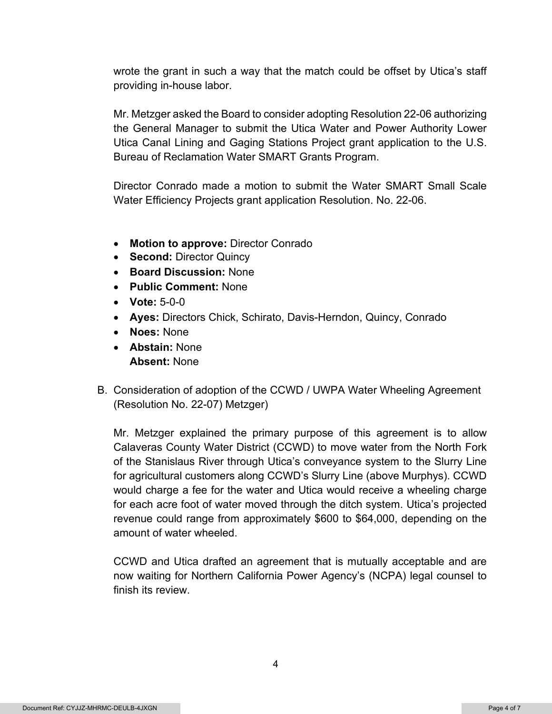wrote the grant in such a way that the match could be offset by Utica's staff providing in-house labor.

Mr. Metzger asked the Board to consider adopting Resolution 22-06 authorizing the General Manager to submit the Utica Water and Power Authority Lower Utica Canal Lining and Gaging Stations Project grant application to the U.S. Bureau of Reclamation Water SMART Grants Program.

Director Conrado made a motion to submit the Water SMART Small Scale Water Efficiency Projects grant application Resolution. No. 22-06.

- **Motion to approve:** Director Conrado
- **Second:** Director Quincy
- **Board Discussion:** None
- **Public Comment:** None
- **Vote:** 5-0-0
- **Ayes:** Directors Chick, Schirato, Davis-Herndon, Quincy, Conrado
- **Noes:** None
- **Abstain:** None **Absent:** None
- B. Consideration of adoption of the CCWD / UWPA Water Wheeling Agreement (Resolution No. 22-07) Metzger)

Mr. Metzger explained the primary purpose of this agreement is to allow Calaveras County Water District (CCWD) to move water from the North Fork of the Stanislaus River through Utica's conveyance system to the Slurry Line for agricultural customers along CCWD's Slurry Line (above Murphys). CCWD would charge a fee for the water and Utica would receive a wheeling charge for each acre foot of water moved through the ditch system. Utica's projected revenue could range from approximately \$600 to \$64,000, depending on the amount of water wheeled.

CCWD and Utica drafted an agreement that is mutually acceptable and are now waiting for Northern California Power Agency's (NCPA) legal counsel to finish its review.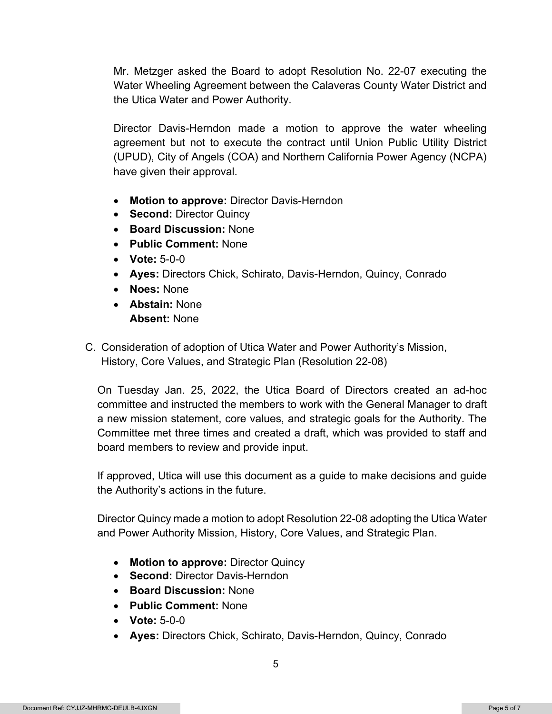Mr. Metzger asked the Board to adopt Resolution No. 22-07 executing the Water Wheeling Agreement between the Calaveras County Water District and the Utica Water and Power Authority.

Director Davis-Herndon made a motion to approve the water wheeling agreement but not to execute the contract until Union Public Utility District (UPUD), City of Angels (COA) and Northern California Power Agency (NCPA) have given their approval.

- **Motion to approve:** Director Davis-Herndon
- **Second:** Director Quincy
- **Board Discussion:** None
- **Public Comment:** None
- **Vote:** 5-0-0
- **Ayes:** Directors Chick, Schirato, Davis-Herndon, Quincy, Conrado
- **Noes:** None
- **Abstain:** None **Absent:** None
- C. Consideration of adoption of Utica Water and Power Authority's Mission, History, Core Values, and Strategic Plan (Resolution 22-08)

On Tuesday Jan. 25, 2022, the Utica Board of Directors created an ad-hoc committee and instructed the members to work with the General Manager to draft a new mission statement, core values, and strategic goals for the Authority. The Committee met three times and created a draft, which was provided to staff and board members to review and provide input.

If approved, Utica will use this document as a guide to make decisions and guide the Authority's actions in the future.

Director Quincy made a motion to adopt Resolution 22-08 adopting the Utica Water and Power Authority Mission, History, Core Values, and Strategic Plan.

- **Motion to approve:** Director Quincy
- **Second:** Director Davis-Herndon
- **Board Discussion:** None
- **Public Comment:** None
- **Vote:** 5-0-0
- **Ayes:** Directors Chick, Schirato, Davis-Herndon, Quincy, Conrado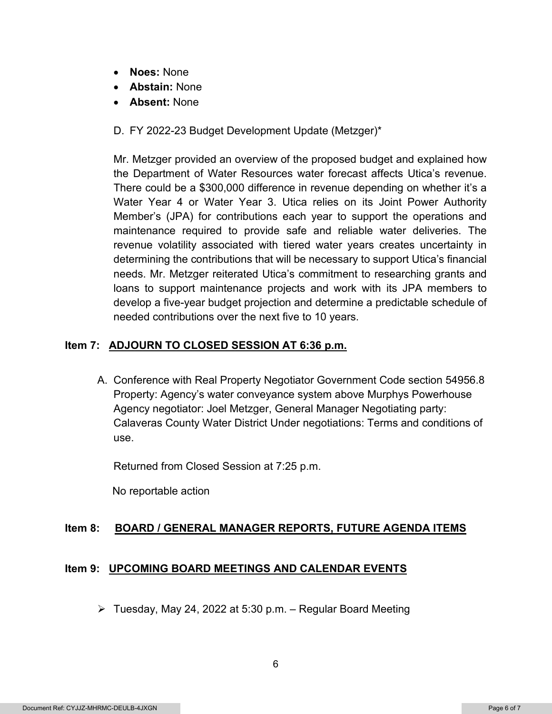- **Noes:** None
- **Abstain:** None
- **Absent:** None
- D. FY 2022-23 Budget Development Update (Metzger)\*

Mr. Metzger provided an overview of the proposed budget and explained how the Department of Water Resources water forecast affects Utica's revenue. There could be a \$300,000 difference in revenue depending on whether it's a Water Year 4 or Water Year 3. Utica relies on its Joint Power Authority Member's (JPA) for contributions each year to support the operations and maintenance required to provide safe and reliable water deliveries. The revenue volatility associated with tiered water years creates uncertainty in determining the contributions that will be necessary to support Utica's financial needs. Mr. Metzger reiterated Utica's commitment to researching grants and loans to support maintenance projects and work with its JPA members to develop a five-year budget projection and determine a predictable schedule of needed contributions over the next five to 10 years.

#### **Item 7: ADJOURN TO CLOSED SESSION AT 6:36 p.m.**

A. Conference with Real Property Negotiator Government Code section 54956.8 Property: Agency's water conveyance system above Murphys Powerhouse Agency negotiator: Joel Metzger, General Manager Negotiating party: Calaveras County Water District Under negotiations: Terms and conditions of use.

Returned from Closed Session at 7:25 p.m.

No reportable action

#### **Item 8: BOARD / GENERAL MANAGER REPORTS, FUTURE AGENDA ITEMS**

#### **Item 9: UPCOMING BOARD MEETINGS AND CALENDAR EVENTS**

 $\triangleright$  Tuesday, May 24, 2022 at 5:30 p.m. – Regular Board Meeting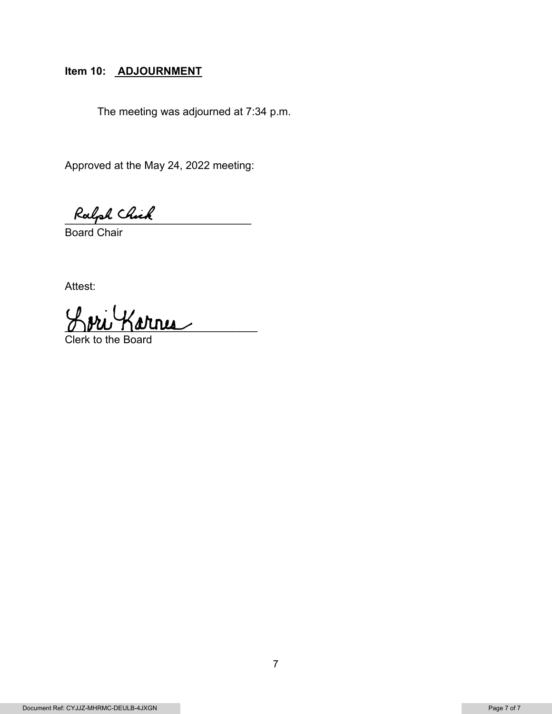## Item 10: **ADJOURNMENT**

The meeting was adjourned at 7:34 p.m.

Approved at the May 24, 2022 meeting:

Ralph Chick

Board Chair

Attest:

\_\_\_\_\_\_\_\_\_\_\_\_\_\_\_\_\_\_\_\_\_\_\_\_\_\_\_\_\_\_\_\_

Clerk to the Board